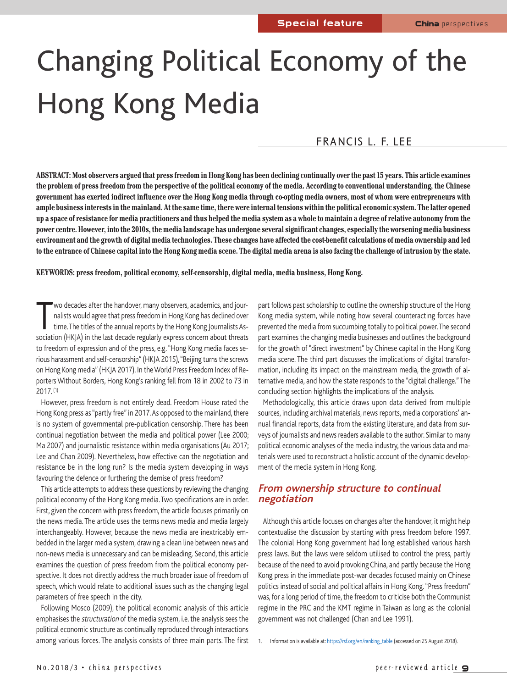# Changing Political Economy of the Hong Kong Media

# FRANCIS L. F. LEE

**ABSTRACT: Most observers argued that press freedom in Hong Kong has been declining continually over the past 15 years. This article examines the problem of press freedom from the perspective of the political economy of the media. According to conventional understanding, the Chinese government has exerted indirect influence over the Hong Kong media through co-opting media owners, most of whom were entrepreneurs with ample business interests in the mainland. At the same time, there were internal tensions within the political economic system. The latter opened up a space of resistance for media practitioners and thus helped the media system as a whole to maintain a degree of relative autonomy from the power centre. However, into the 2010s, the media landscape has undergone several significant changes, especially the worsening media business environment and the growth of digital media technologies. These changes have affected the cost-benefit calculations of media ownership and led to the entrance of Chinese capital into the Hong Kong media scene. The digital media arena is also facing the challenge of intrusion by the state.**

#### **KEYWORDS: press freedom, political economy, self-censorship, digital media, media business, Hong Kong.**

Wo decades after the handover, many observers, academics, and jour-<br>
ralists would agree that press freedom in Hong Kong has declined over<br>
time. The titles of the annual reports by the Hong Kong Journalists As-<br>
sociation wo decades after the handover, many observers, academics, and journalists would agree that press freedom in Hong Kong has declined over time. The titles of the annual reports by the Hong Kong Journalists Asto freedom of expression and of the press, e.g. "Hong Kong media faces serious harassment and self-censorship" (HKJA 2015), "Beijing turns the screws on Hong Kong media" (HKJA 2017). In the World Press Freedom Index of Reporters Without Borders, Hong Kong's ranking fell from 18 in 2002 to 73 in 2017. (1)

However, press freedom is not entirely dead. Freedom House rated the Hong Kong press as "partly free" in 2017. As opposed to the mainland, there is no system of governmental pre-publication censorship. There has been continual negotiation between the media and political power (Lee 2000; Ma 2007) and journalistic resistance within media organisations (Au 2017; Lee and Chan 2009). Nevertheless, how effective can the negotiation and resistance be in the long run? Is the media system developing in ways favouring the defence or furthering the demise of press freedom?

This article attempts to address these questions by reviewing the changing political economy of the Hong Kong media. Two specifications are in order. First, given the concern with press freedom, the article focuses primarily on the news media. The article uses the terms news media and media largely interchangeably. However, because the news media are inextricably embedded in the larger media system, drawing a clean line between news and non-news media is unnecessary and can be misleading. Second, this article examines the question of press freedom from the political economy perspective. It does not directly address the much broader issue of freedom of speech, which would relate to additional issues such as the changing legal parameters of free speech in the city.

Following Mosco (2009), the political economic analysis of this article emphasises the structuration of the media system, i.e. the analysis sees the political economic structure as continually reproduced through interactions among various forces. The analysis consists of three main parts. The first

part follows past scholarship to outline the ownership structure of the Hong Kong media system, while noting how several counteracting forces have prevented the media from succumbing totally to political power. The second part examines the changing media businesses and outlines the background for the growth of "direct investment" by Chinese capital in the Hong Kong media scene. The third part discusses the implications of digital transformation, including its impact on the mainstream media, the growth of alternative media, and how the state responds to the "digital challenge." The concluding section highlights the implications of the analysis.

Methodologically, this article draws upon data derived from multiple sources, including archival materials, news reports, media corporations' annual financial reports, data from the existing literature, and data from surveys of journalists and news readers available to the author. Similar to many political economic analyses of the media industry, the various data and materials were used to reconstruct a holistic account of the dynamic development of the media system in Hong Kong.

## **From ownership structure to continual negotiation**

Although this article focuses on changes after the handover, it might help contextualise the discussion by starting with press freedom before 1997. The colonial Hong Kong government had long established various harsh press laws. But the laws were seldom utilised to control the press, partly because of the need to avoid provoking China, and partly because the Hong Kong press in the immediate post-war decades focused mainly on Chinese politics instead of social and political affairs in Hong Kong. "Press freedom" was, for a long period of time, the freedom to criticise both the Communist regime in the PRC and the KMT regime in Taiwan as long as the colonial government was not challenged (Chan and Lee 1991).

1. Information is available at: https://rsf.org/en/ranking\_table (accessed on 25 August 2018).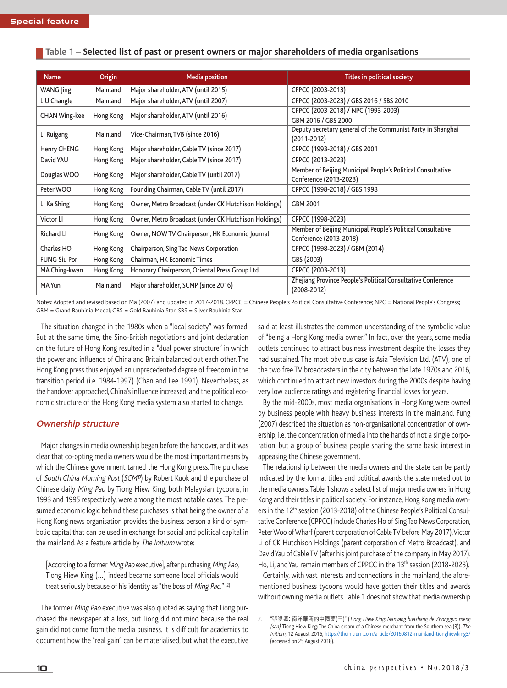| <b>Name</b>          | Origin    | <b>Media position</b>                                | <b>Titles in political society</b>                                              |  |  |  |
|----------------------|-----------|------------------------------------------------------|---------------------------------------------------------------------------------|--|--|--|
| WANG Jing            | Mainland  | Major shareholder, ATV (until 2015)                  | CPPCC (2003-2013)                                                               |  |  |  |
| LIU Changle          | Mainland  | Major shareholder, ATV (until 2007)                  | CPPCC (2003-2023) / GBS 2016 / SBS 2010                                         |  |  |  |
| <b>CHAN Wing-kee</b> | Hong Kong | Major shareholder, ATV (until 2016)                  | CPPCC (2003-2018) / NPC (1993-2003)                                             |  |  |  |
|                      |           |                                                      | GBM 2016 / GBS 2000                                                             |  |  |  |
| LI Ruigang           | Mainland  | Vice-Chairman, TVB (since 2016)                      | Deputy secretary general of the Communist Party in Shanghai<br>$(2011 - 2012)$  |  |  |  |
| Henry CHENG          | Hong Kong | Major shareholder, Cable TV (since 2017)             | CPPCC (1993-2018) / GBS 2001                                                    |  |  |  |
| David YAU            | Hong Kong | Major shareholder, Cable TV (since 2017)             | CPPCC (2013-2023)                                                               |  |  |  |
| Douglas WOO          | Hong Kong | Major shareholder, Cable TV (until 2017)             | Member of Beijing Municipal People's Political Consultative                     |  |  |  |
|                      |           |                                                      | Conference (2013-2023)                                                          |  |  |  |
| Peter WOO            | Hong Kong | Founding Chairman, Cable TV (until 2017)             | CPPCC (1998-2018) / GBS 1998                                                    |  |  |  |
| LI Ka Shing          | Hong Kong | Owner, Metro Broadcast (under CK Hutchison Holdings) | GBM 2001                                                                        |  |  |  |
| <b>Victor LI</b>     | Hong Kong | Owner, Metro Broadcast (under CK Hutchison Holdings) | CPPCC (1998-2023)                                                               |  |  |  |
| <b>Richard LI</b>    | Hong Kong | Owner, NOW TV Chairperson, HK Economic Journal       | Member of Beijing Municipal People's Political Consultative                     |  |  |  |
|                      |           |                                                      | Conference (2013-2018)                                                          |  |  |  |
| Charles HO           | Hong Kong | Chairperson, Sing Tao News Corporation               | CPPCC (1998-2023) / GBM (2014)                                                  |  |  |  |
| <b>FUNG Siu Por</b>  | Hong Kong | Chairman, HK Economic Times                          | GBS (2003)                                                                      |  |  |  |
| MA Ching-kwan        | Hong Kong | Honorary Chairperson, Oriental Press Group Ltd.      | CPPCC (2003-2013)                                                               |  |  |  |
| MA Yun               | Mainland  | Major shareholder, SCMP (since 2016)                 | Zhejiang Province People's Political Consultative Conference<br>$(2008 - 2012)$ |  |  |  |

#### **Table 1 – Selected list of past or present owners or major shareholders of media organisations**

Notes: Adopted and revised based on Ma (2007) and updated in 2017-2018. CPPCC = Chinese People's Political Consultative Conference; NPC = National People's Congress; GBM = Grand Bauhinia Medal; GBS = Gold Bauhinia Star; SBS = Silver Bauhinia Star.

The situation changed in the 1980s when a "local society" was formed. But at the same time, the Sino-British negotiations and joint declaration on the future of Hong Kong resulted in a "dual power structure" in which the power and influence of China and Britain balanced out each other. The Hong Kong press thus enjoyed an unprecedented degree of freedom in the transition period (i.e. 1984-1997) (Chan and Lee 1991). Nevertheless, as the handover approached, China's influence increased, and the political economic structure of the Hong Kong media system also started to change.

#### **Ownership structure**

Major changes in media ownership began before the handover, and it was clear that co-opting media owners would be the most important means by which the Chinese government tamed the Hong Kong press. The purchase of South China Morning Post (SCMP) by Robert Kuok and the purchase of Chinese daily Ming Pao by Tiong Hiew King, both Malaysian tycoons, in 1993 and 1995 respectively, were among the most notable cases. The presumed economic logic behind these purchases is that being the owner of a Hong Kong news organisation provides the business person a kind of symbolic capital that can be used in exchange for social and political capital in the mainland. As a feature article by The Initium wrote:

[According to a former Ming Pao executive], after purchasing Ming Pao, Tiong Hiew King (…) indeed became someone local officials would treat seriously because of his identity as "the boss of Ming Pao." (2)

The former Ming Pao executive was also quoted as saying that Tiong purchased the newspaper at a loss, but Tiong did not mind because the real gain did not come from the media business. It is difficult for academics to document how the "real gain" can be materialised, but what the executive

said at least illustrates the common understanding of the symbolic value of "being a Hong Kong media owner." In fact, over the years, some media outlets continued to attract business investment despite the losses they had sustained. The most obvious case is Asia Television Ltd. (ATV), one of the two free TV broadcasters in the city between the late 1970s and 2016, which continued to attract new investors during the 2000s despite having very low audience ratings and registering financial losses for years.

By the mid-2000s, most media organisations in Hong Kong were owned by business people with heavy business interests in the mainland. Fung (2007) described the situation as non-organisational concentration of ownership, i.e. the concentration of media into the hands of not a single corporation, but a group of business people sharing the same basic interest in appeasing the Chinese government.

The relationship between the media owners and the state can be partly indicated by the formal titles and political awards the state meted out to the media owners. Table 1 shows a select list of major media owners in Hong Kong and their titles in political society. For instance, Hong Kong media owners in the 12<sup>th</sup> session (2013-2018) of the Chinese People's Political Consultative Conference (CPPCC) include Charles Ho of Sing Tao News Corporation, Peter Woo of Wharf (parent corporation of Cable TV before May 2017), Victor Li of CK Hutchison Holdings (parent corporation of Metro Broadcast), and David Yau of Cable TV (after his joint purchase of the company in May 2017). Ho, Li, and Yau remain members of CPPCC in the 13<sup>th</sup> session (2018-2023).

Certainly, with vast interests and connections in the mainland, the aforementioned business tycoons would have gotten their titles and awards without owning media outlets. Table 1 does not show that media ownership

<sup>2. &</sup>quot;張曉卿: 南洋華商的中國夢(三)" (Tiong Hiew King: Nanyang huashang de Zhongguo meng (san), Tiong Hiew King: The China dream of a Chinese merchant from the Southern sea (3)), The Initium, 12 August 2016, https://theinitium.com/article/20160812-mainland-tionghiewking3/ (accessed on 25 August 2018).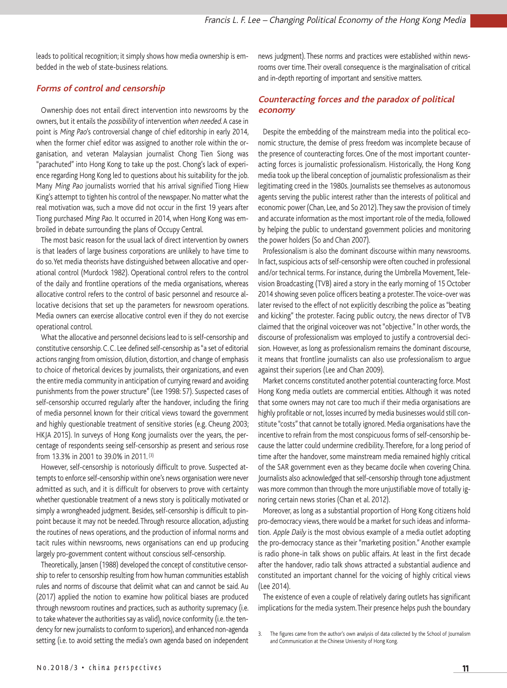leads to political recognition; it simply shows how media ownership is embedded in the web of state-business relations.

## **Forms of control and censorship**

Ownership does not entail direct intervention into newsrooms by the owners, but it entails the possibility of intervention when needed. A case in point is Ming Pao's controversial change of chief editorship in early 2014, when the former chief editor was assigned to another role within the organisation, and veteran Malaysian journalist Chong Tien Siong was "parachuted" into Hong Kong to take up the post. Chong's lack of experience regarding Hong Kong led to questions about his suitability for the job. Many Ming Pao journalists worried that his arrival signified Tiong Hiew King's attempt to tighten his control of the newspaper. No matter what the real motivation was, such a move did not occur in the first 19 years after Tiong purchased Ming Pao. It occurred in 2014, when Hong Kong was embroiled in debate surrounding the plans of Occupy Central.

The most basic reason for the usual lack of direct intervention by owners is that leaders of large business corporations are unlikely to have time to do so. Yet media theorists have distinguished between allocative and operational control (Murdock 1982). Operational control refers to the control of the daily and frontline operations of the media organisations, whereas allocative control refers to the control of basic personnel and resource allocative decisions that set up the parameters for newsroom operations. Media owners can exercise allocative control even if they do not exercise operational control.

What the allocative and personnel decisions lead to is self-censorship and constitutive censorship. C. C. Lee defined self-censorship as "a set of editorial actions ranging from omission, dilution, distortion, and change of emphasis to choice of rhetorical devices by journalists, their organizations, and even the entire media community in anticipation of currying reward and avoiding punishments from the power structure" (Lee 1998: 57). Suspected cases of self-censorship occurred regularly after the handover, including the firing of media personnel known for their critical views toward the government and highly questionable treatment of sensitive stories (e.g. Cheung 2003; HKJA 2015). In surveys of Hong Kong journalists over the years, the percentage of respondents seeing self-censorship as present and serious rose from 13.3% in 2001 to 39.0% in 2011. (3)

However, self-censorship is notoriously difficult to prove. Suspected attempts to enforce self-censorship within one's news organisation were never admitted as such, and it is difficult for observers to prove with certainty whether questionable treatment of a news story is politically motivated or simply a wrongheaded judgment. Besides, self-censorship is difficult to pinpoint because it may not be needed. Through resource allocation, adjusting the routines of news operations, and the production of informal norms and tacit rules within newsrooms, news organisations can end up producing largely pro-government content without conscious self-censorship.

Theoretically, Jansen (1988) developed the concept of constitutive censorship to refer to censorship resulting from how human communities establish rules and norms of discourse that delimit what can and cannot be said. Au (2017) applied the notion to examine how political biases are produced through newsroom routines and practices, such as authority supremacy (i.e. to take whatever the authorities say as valid), novice conformity (i.e. the tendency for new journalists to conform to superiors), and enhanced non-agenda setting (i.e. to avoid setting the media's own agenda based on independent news judgment). These norms and practices were established within newsrooms over time. Their overall consequence is the marginalisation of critical and in-depth reporting of important and sensitive matters.

## **Counteracting forces and the paradox of political economy**

Despite the embedding of the mainstream media into the political economic structure, the demise of press freedom was incomplete because of the presence of counteracting forces. One of the most important counteracting forces is journalistic professionalism. Historically, the Hong Kong media took up the liberal conception of journalistic professionalism as their legitimating creed in the 1980s. Journalists see themselves as autonomous agents serving the public interest rather than the interests of political and economic power (Chan, Lee, and So 2012). They saw the provision of timely and accurate information as the most important role of the media, followed by helping the public to understand government policies and monitoring the power holders (So and Chan 2007).

Professionalism is also the dominant discourse within many newsrooms. In fact, suspicious acts of self-censorship were often couched in professional and/or technical terms. For instance, during the Umbrella Movement, Television Broadcasting (TVB) aired a story in the early morning of 15 October 2014 showing seven police officers beating a protester. The voice-over was later revised to the effect of not explicitly describing the police as "beating and kicking" the protester. Facing public outcry, the news director of TVB claimed that the original voiceover was not "objective." In other words, the discourse of professionalism was employed to justify a controversial decision. However, as long as professionalism remains the dominant discourse, it means that frontline journalists can also use professionalism to argue against their superiors (Lee and Chan 2009).

Market concerns constituted another potential counteracting force. Most Hong Kong media outlets are commercial entities. Although it was noted that some owners may not care too much if their media organisations are highly profitable or not, losses incurred by media businesses would still constitute "costs" that cannot be totally ignored. Media organisations have the incentive to refrain from the most conspicuous forms of self-censorship because the latter could undermine credibility. Therefore, for a long period of time after the handover, some mainstream media remained highly critical of the SAR government even as they became docile when covering China. Journalists also acknowledged that self-censorship through tone adjustment was more common than through the more unjustifiable move of totally ignoring certain news stories (Chan et al. 2012).

Moreover, as long as a substantial proportion of Hong Kong citizens hold pro-democracy views, there would be a market for such ideas and information. Apple Daily is the most obvious example of a media outlet adopting the pro-democracy stance as their "marketing position." Another example is radio phone-in talk shows on public affairs. At least in the first decade after the handover, radio talk shows attracted a substantial audience and constituted an important channel for the voicing of highly critical views (Lee 2014).

The existence of even a couple of relatively daring outlets has significant implications for the media system. Their presence helps push the boundary

<sup>3.</sup> The figures came from the author's own analysis of data collected by the School of Journalism and Communication at the Chinese University of Hong Kong.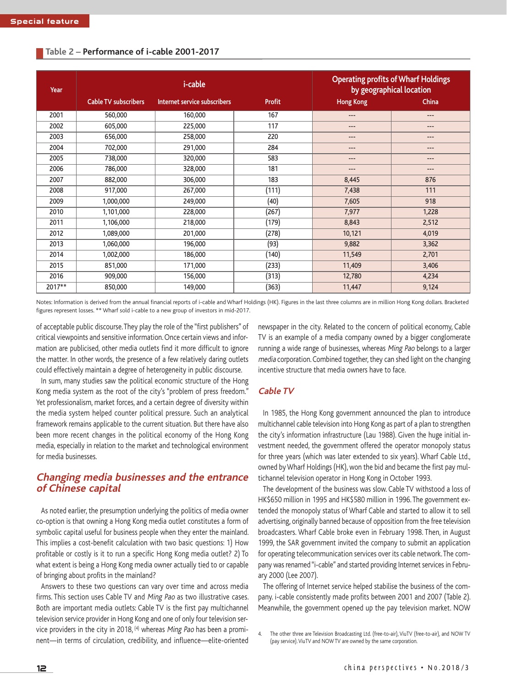| Year   |                             | <i>i</i> -cable              | <b>Operating profits of Wharf Holdings</b><br>by geographical location |                  |              |
|--------|-----------------------------|------------------------------|------------------------------------------------------------------------|------------------|--------------|
|        | <b>Cable TV subscribers</b> | Internet service subscribers | <b>Profit</b>                                                          | <b>Hong Kong</b> | <b>China</b> |
| 2001   | 560,000                     | 160,000                      | 167                                                                    | ---              | ---          |
| 2002   | 605,000                     | 225,000                      | 117                                                                    | $---$            | $- - -$      |
| 2003   | 656,000                     | 258,000                      | 220                                                                    | $---$            | ---          |
| 2004   | 702,000                     | 291,000                      | 284                                                                    | $---$            | $---$        |
| 2005   | 738,000                     | 320,000                      | 583                                                                    | ---              | ---          |
| 2006   | 786,000                     | 328,000                      | 181                                                                    | $---$            | ---          |
| 2007   | 882,000                     | 306,000                      | 183                                                                    | 8,445            | 876          |
| 2008   | 917,000                     | 267,000                      | (111)                                                                  | 7,438            | 111          |
| 2009   | 1,000,000                   | 249,000                      | (40)                                                                   | 7,605            | 918          |
| 2010   | 1,101,000                   | 228,000                      | (267)                                                                  | 7,977            | 1,228        |
| 2011   | 1,106,000                   | 218,000                      | (179)                                                                  | 8,843            | 2,512        |
| 2012   | 1,089,000                   | 201,000                      | (278)                                                                  | 10,121           | 4,019        |
| 2013   | 1,060,000                   | 196,000                      | (93)                                                                   | 9,882            | 3,362        |
| 2014   | 1,002,000                   | 186,000                      | (140)                                                                  | 11,549           | 2,701        |
| 2015   | 851,000                     | 171,000                      | (233)                                                                  | 11,409           | 3,406        |
| 2016   | 909,000                     | 156,000                      | (313)                                                                  | 12,780           | 4,234        |
| 2017** | 850,000                     | 149,000                      | (363)                                                                  | 11,447           | 9,124        |

#### **Table 2 – Performance of i-cable 2001-2017**

Notes: Information is derived from the annual financial reports of i-cable and Wharf Holdings (HK). Figures in the last three columns are in million Hong Kong dollars. Bracketed figures represent losses. \*\* Wharf sold i-cable to a new group of investors in mid-2017.

of acceptable public discourse. They play the role of the "first publishers" of critical viewpoints and sensitive information. Once certain views and information are publicised, other media outlets find it more difficult to ignore the matter. In other words, the presence of a few relatively daring outlets could effectively maintain a degree of heterogeneity in public discourse.

In sum, many studies saw the political economic structure of the Hong Kong media system as the root of the city's "problem of press freedom." Yet professionalism, market forces, and a certain degree of diversity within the media system helped counter political pressure. Such an analytical framework remains applicable to the current situation. But there have also been more recent changes in the political economy of the Hong Kong media, especially in relation to the market and technological environment for media businesses.

## **Changing media businesses and the entrance of Chinese capital**

As noted earlier, the presumption underlying the politics of media owner co-option is that owning a Hong Kong media outlet constitutes a form of symbolic capital useful for business people when they enter the mainland. This implies a cost-benefit calculation with two basic questions: 1) How profitable or costly is it to run a specific Hong Kong media outlet? 2) To what extent is being a Hong Kong media owner actually tied to or capable of bringing about profits in the mainland?

Answers to these two questions can vary over time and across media firms. This section uses Cable TV and Ming Pao as two illustrative cases. Both are important media outlets: Cable TV is the first pay multichannel television service provider in Hong Kong and one of only four television service providers in the city in 2018,  $(4)$  whereas *Ming Pao* has been a prominent—in terms of circulation, credibility, and influence—elite-oriented newspaper in the city. Related to the concern of political economy, Cable TV is an example of a media company owned by a bigger conglomerate running a wide range of businesses, whereas Ming Pao belongs to a larger media corporation. Combined together, they can shed light on the changing incentive structure that media owners have to face.

## **Cable TV**

In 1985, the Hong Kong government announced the plan to introduce multichannel cable television into Hong Kong as part of a plan to strengthen the city's information infrastructure (Lau 1988). Given the huge initial investment needed, the government offered the operator monopoly status for three years (which was later extended to six years). Wharf Cable Ltd., owned by Wharf Holdings (HK), won the bid and became the first pay multichannel television operator in Hong Kong in October 1993.

The development of the business was slow. Cable TV withstood a loss of HK\$650 million in 1995 and HK\$580 million in 1996. The government extended the monopoly status of Wharf Cable and started to allow it to sell advertising, originally banned because of opposition from the free television broadcasters. Wharf Cable broke even in February 1998. Then, in August 1999, the SAR government invited the company to submit an application for operating telecommunication services over its cable network. The company was renamed "i-cable" and started providing Internet services in February 2000 (Lee 2007).

The offering of Internet service helped stabilise the business of the company. i-cable consistently made profits between 2001 and 2007 (Table 2). Meanwhile, the government opened up the pay television market. NOW

4. The other three are Television Broadcasting Ltd. (free-to-air), ViuTV (free-to-air), and NOW TV (pay service). ViuTV and NOW TV are owned by the same corporation.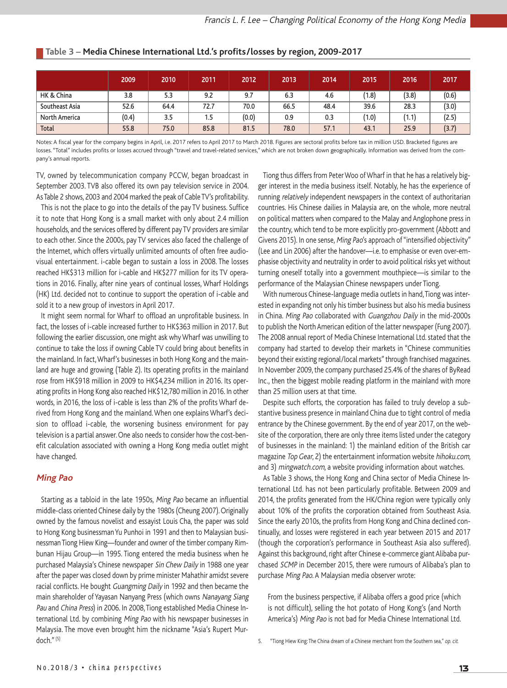|                      | 2009  | 2010 | 2011 | 2012  | 2013 | 2014 | 2015             | 2016  | 2017  |
|----------------------|-------|------|------|-------|------|------|------------------|-------|-------|
| HK & China           | 3.8   | 5.3  | 9.2  | 9.7   | 6.3  | 4.6  | (1.8)            | (3.8) | (0.6) |
| Southeast Asia       | 52.6  | 64.4 | 72.7 | 70.0  | 66.5 | 48.4 | 39.6             | 28.3  | (3.0) |
| <b>North America</b> | (0.4) | 3.5  | 1.5  | (0.0) | 0.9  | 0.3  | $^{\prime}$ 1.0) | (1.1) | (2.5) |
| Total                | 55.8  | 75.0 | 85.8 | 81.5  | 78.0 | 57.1 | 43.1             | 25.9  | (3.7) |

#### **Table 3 – Media Chinese International Ltd.'s profits/losses by region, 2009-2017**

Notes: A fiscal year for the company begins in April, i.e. 2017 refers to April 2017 to March 2018. Figures are sectoral profits before tax in million USD. Bracketed figures are losses. "Total" includes profits or losses accrued through "travel and travel-related services," which are not broken down geographically. Information was derived from the company's annual reports.

TV, owned by telecommunication company PCCW, began broadcast in September 2003. TVB also offered its own pay television service in 2004. As Table 2 shows, 2003 and 2004 marked the peak of Cable TV's profitability.

This is not the place to go into the details of the pay TV business. Suffice it to note that Hong Kong is a small market with only about 2.4 million households, and the services offered by different pay TV providers are similar to each other. Since the 2000s, pay TV services also faced the challenge of the Internet, which offers virtually unlimited amounts of often free audiovisual entertainment. i-cable began to sustain a loss in 2008. The losses reached HK\$313 million for i-cable and HK\$277 million for its TV operations in 2016. Finally, after nine years of continual losses, Wharf Holdings (HK) Ltd. decided not to continue to support the operation of i-cable and sold it to a new group of investors in April 2017.

It might seem normal for Wharf to offload an unprofitable business. In fact, the losses of i-cable increased further to HK\$363 million in 2017. But following the earlier discussion, one might ask why Wharf was unwilling to continue to take the loss if owning Cable TV could bring about benefits in the mainland. In fact, Wharf's businesses in both Hong Kong and the mainland are huge and growing (Table 2). Its operating profits in the mainland rose from HK\$918 million in 2009 to HK\$4,234 million in 2016. Its operating profits in Hong Kong also reached HK\$12,780 million in 2016. In other words, in 2016, the loss of i-cable is less than 2% of the profits Wharf derived from Hong Kong and the mainland. When one explains Wharf's decision to offload i-cable, the worsening business environment for pay television is a partial answer. One also needs to consider how the cost-benefit calculation associated with owning a Hong Kong media outlet might have changed.

#### **Ming Pao**

Starting as a tabloid in the late 1950s, Ming Pao became an influential middle-class oriented Chinese daily by the 1980s (Cheung 2007). Originally owned by the famous novelist and essayist Louis Cha, the paper was sold to Hong Kong businessman Yu Punhoi in 1991 and then to Malaysian businessman Tiong Hiew King-founder and owner of the timber company Rimbunan Hijau Group—in 1995. Tiong entered the media business when he purchased Malaysia's Chinese newspaper Sin Chew Daily in 1988 one year after the paper was closed down by prime minister Mahathir amidst severe racial conflicts. He bought Guangming Daily in 1992 and then became the main shareholder of Yayasan Nanyang Press (which owns Nanayang Siang Pau and China Press) in 2006. In 2008, Tiong established Media Chinese International Ltd. by combining Ming Pao with his newspaper businesses in Malaysia. The move even brought him the nickname "Asia's Rupert Murdoch."(5)

Tiong thus differs from Peter Woo of Wharf in that he has a relatively bigger interest in the media business itself. Notably, he has the experience of running relatively independent newspapers in the context of authoritarian countries. His Chinese dailies in Malaysia are, on the whole, more neutral on political matters when compared to the Malay and Anglophone press in the country, which tend to be more explicitly pro-government (Abbott and Givens 2015). In one sense, Ming Pao's approach of "intensified objectivity" (Lee and Lin 2006) after the handover—i.e. to emphasise or even over-emphasise objectivity and neutrality in order to avoid political risks yet without turning oneself totally into a government mouthpiece—is similar to the performance of the Malaysian Chinese newspapers under Tiong.

With numerous Chinese-language media outlets in hand, Tiong was interested in expanding not only his timber business but also his media business in China. Ming Pao collaborated with Guangzhou Daily in the mid-2000s to publish the North American edition of the latter newspaper (Fung 2007). The 2008 annual report of Media Chinese International Ltd. stated that the company had started to develop their markets in "Chinese communities beyond their existing regional/local markets" through franchised magazines. In November 2009, the company purchased 25.4% of the shares of ByRead Inc., then the biggest mobile reading platform in the mainland with more than 25 million users at that time.

Despite such efforts, the corporation has failed to truly develop a substantive business presence in mainland China due to tight control of media entrance by the Chinese government. By the end of year 2017, on the website of the corporation, there are only three items listed under the category of businesses in the mainland: 1) the mainland edition of the British car magazine Top Gear, 2) the entertainment information website hihoku.com, and 3) mingwatch.com, a website providing information about watches.

As Table 3 shows, the Hong Kong and China sector of Media Chinese International Ltd. has not been particularly profitable. Between 2009 and 2014, the profits generated from the HK/China region were typically only about 10% of the profits the corporation obtained from Southeast Asia. Since the early 2010s, the profits from Hong Kong and China declined continually, and losses were registered in each year between 2015 and 2017 (though the corporation's performance in Southeast Asia also suffered). Against this background, right after Chinese e-commerce giant Alibaba purchased SCMP in December 2015, there were rumours of Alibaba's plan to purchase Ming Pao. A Malaysian media observer wrote:

From the business perspective, if Alibaba offers a good price (which is not difficult), selling the hot potato of Hong Kong's (and North America's) Ming Pao is not bad for Media Chinese International Ltd.

5. "Tiong Hiew King: The China dream of a Chinese merchant from the Southern sea," op. cit.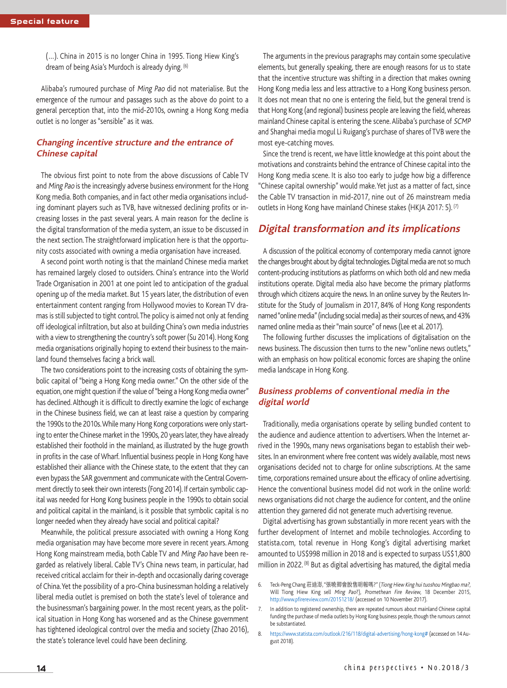(…). China in 2015 is no longer China in 1995. Tiong Hiew King's dream of being Asia's Murdoch is already dying. (6)

Alibaba's rumoured purchase of Ming Pao did not materialise. But the emergence of the rumour and passages such as the above do point to a general perception that, into the mid-2010s, owning a Hong Kong media outlet is no longer as "sensible" as it was.

## **Changing incentive structure and the entrance of Chinese capital**

The obvious first point to note from the above discussions of Cable TV and Ming Pao is the increasingly adverse business environment for the Hong Kong media. Both companies, and in fact other media organisations including dominant players such as TVB, have witnessed declining profits or increasing losses in the past several years. A main reason for the decline is the digital transformation of the media system, an issue to be discussed in the next section. The straightforward implication here is that the opportunity costs associated with owning a media organisation have increased.

A second point worth noting is that the mainland Chinese media market has remained largely closed to outsiders. China's entrance into the World Trade Organisation in 2001 at one point led to anticipation of the gradual opening up of the media market. But 15 years later, the distribution of even entertainment content ranging from Hollywood movies to Korean TV dramas is still subjected to tight control. The policy is aimed not only at fending off ideological infiltration, but also at building China's own media industries with a view to strengthening the country's soft power (Su 2014). Hong Kong media organisations originally hoping to extend their business to the mainland found themselves facing a brick wall.

The two considerations point to the increasing costs of obtaining the symbolic capital of "being a Hong Kong media owner." On the other side of the equation, one might question if the value of "being a Hong Kong media owner" has declined. Although it is difficult to directly examine the logic of exchange in the Chinese business field, we can at least raise a question by comparing the 1990s to the 2010s. While many Hong Kong corporations were only starting to enter the Chinese market in the 1990s, 20 years later, they have already established their foothold in the mainland, as illustrated by the huge growth in profits in the case of Wharf. Influential business people in Hong Kong have established their alliance with the Chinese state, to the extent that they can even bypass the SAR government and communicate with the Central Government directly to seek their own interests (Fong 2014). If certain symbolic capital was needed for Hong Kong business people in the 1990s to obtain social and political capital in the mainland, is it possible that symbolic capital is no longer needed when they already have social and political capital?

Meanwhile, the political pressure associated with owning a Hong Kong media organisation may have become more severe in recent years. Among Hong Kong mainstream media, both Cable TV and Ming Pao have been regarded as relatively liberal. Cable TV's China news team, in particular, had received critical acclaim for their in-depth and occasionally daring coverage of China. Yet the possibility of a pro-China businessman holding a relatively liberal media outlet is premised on both the state's level of tolerance and the businessman's bargaining power. In the most recent years, as the political situation in Hong Kong has worsened and as the Chinese government has tightened ideological control over the media and society (Zhao 2016), the state's tolerance level could have been declining.

The arguments in the previous paragraphs may contain some speculative elements, but generally speaking, there are enough reasons for us to state that the incentive structure was shifting in a direction that makes owning Hong Kong media less and less attractive to a Hong Kong business person. It does not mean that no one is entering the field, but the general trend is that Hong Kong (and regional) business people are leaving the field, whereas mainland Chinese capital is entering the scene. Alibaba's purchase of SCMP and Shanghai media mogul Li Ruigang's purchase of shares of TVB were the most eye-catching moves.

Since the trend is recent, we have little knowledge at this point about the motivations and constraints behind the entrance of Chinese capital into the Hong Kong media scene. It is also too early to judge how big a difference "Chinese capital ownership" would make. Yet just as a matter of fact, since the Cable TV transaction in mid-2017, nine out of 26 mainstream media outlets in Hong Kong have mainland Chinese stakes (HKJA 2017: 5). (7)

## **Digital transformation and its implications**

A discussion of the political economy of contemporary media cannot ignore the changes brought about by digital technologies. Digital media are not so much content-producing institutions as platforms on which both old and new media institutions operate. Digital media also have become the primary platforms through which citizens acquire the news. In an online survey by the Reuters Institute for the Study of Journalism in 2017, 84% of Hong Kong respondents named "online media" (including social media) as their sources of news, and 43% named online media as their "main source" of news (Lee et al. 2017).

The following further discusses the implications of digitalisation on the news business. The discussion then turns to the new "online news outlets," with an emphasis on how political economic forces are shaping the online media landscape in Hong Kong.

## **Business problems of conventional media in the digital world**

Traditionally, media organisations operate by selling bundled content to the audience and audience attention to advertisers. When the Internet arrived in the 1990s, many news organisations began to establish their websites. In an environment where free content was widely available, most news organisations decided not to charge for online subscriptions. At the same time, corporations remained unsure about the efficacy of online advertising. Hence the conventional business model did not work in the online world: news organisations did not charge the audience for content, and the online attention they garnered did not generate much advertising revenue.

Digital advertising has grown substantially in more recent years with the further development of Internet and mobile technologies. According to statista.com, total revenue in Hong Kong's digital advertising market amounted to US\$998 million in 2018 and is expected to surpass US\$1,800 million in 2022. (8) But as digital advertising has matured, the digital media

<sup>6.</sup> Teck-Peng Chang 莊迪澎, "張曉卿會脫售明報嗎?" (Tiong Hiew King hui tuoshou Mingbao ma?, Will Tiong Hiew King sell Ming Pao?), Promethean Fire Review, 18 December 2015, http://www.pfirereview.com/20151218/ (accessed on 10 November 2017).

<sup>7.</sup> In addition to registered ownership, there are repeated rumours about mainland Chinese capital funding the purchase of media outlets by Hong Kong business people, though the rumours cannot be substantiated.

<sup>8.</sup> https://www.statista.com/outlook/216/118/digital-advertising/hong-kong# (accessed on 14 August 2018).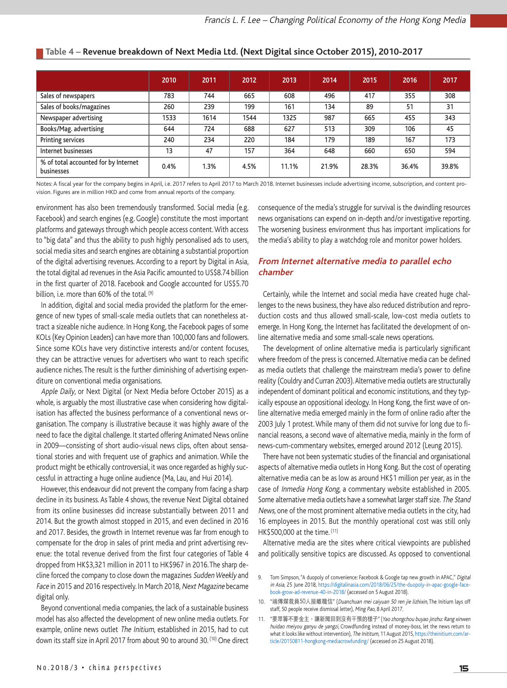|                                                    | 2010 | 2011 | 2012 | 2013  | 2014  | 2015  | 2016  | 2017  |
|----------------------------------------------------|------|------|------|-------|-------|-------|-------|-------|
| Sales of newspapers                                | 783  | 744  | 665  | 608   | 496   | 417   | 355   | 308   |
| Sales of books/magazines                           | 260  | 239  | 199  | 161   | 134   | 89    | 51    | 31    |
| Newspaper advertising                              | 1533 | 1614 | 1544 | 1325  | 987   | 665   | 455   | 343   |
| Books/Mag. advertising                             | 644  | 724  | 688  | 627   | 513   | 309   | 106   | 45    |
| Printing services                                  | 240  | 234  | 220  | 184   | 179   | 189   | 167   | 173   |
| Internet businesses                                | 13   | 47   | 157  | 364   | 648   | 660   | 650   | 594   |
| % of total accounted for by Internet<br>businesses | 0.4% | 1.3% | 4.5% | 11.1% | 21.9% | 28.3% | 36.4% | 39.8% |

## **Table 4 – Revenue breakdown of Next Media Ltd. (Next Digital since October 2015), 2010-2017**

Notes: A fiscal year for the company begins in April, i.e. 2017 refers to April 2017 to March 2018. Internet businesses include advertising income, subscription, and content provision. Figures are in million HKD and come from annual reports of the company.

environment has also been tremendously transformed. Social media (e.g. Facebook) and search engines (e.g. Google) constitute the most important platforms and gateways through which people access content. With access to "big data" and thus the ability to push highly personalised ads to users, social media sites and search engines are obtaining a substantial proportion of the digital advertising revenues. According to a report by Digital in Asia, the total digital ad revenues in the Asia Pacific amounted to US\$8.74 billion in the first quarter of 2018. Facebook and Google accounted for US\$5.70 billion, i.e. more than 60% of the total. (9)

In addition, digital and social media provided the platform for the emergence of new types of small-scale media outlets that can nonetheless attract a sizeable niche audience. In Hong Kong, the Facebook pages of some KOLs (Key Opinion Leaders) can have more than 100,000 fans and followers. Since some KOLs have very distinctive interests and/or content focuses, they can be attractive venues for advertisers who want to reach specific audience niches. The result is the further diminishing of advertising expenditure on conventional media organisations.

Apple Daily, or Next Digital (or Next Media before October 2015) as a whole, is arguably the most illustrative case when considering how digitalisation has affected the business performance of a conventional news organisation. The company is illustrative because it was highly aware of the need to face the digital challenge. It started offering Animated News online in 2009—consisting of short audio-visual news clips, often about sensational stories and with frequent use of graphics and animation. While the product might be ethically controversial, it was once regarded as highly successful in attracting a huge online audience (Ma, Lau, and Hui 2014).

However, this endeavour did not prevent the company from facing a sharp decline in its business. As Table 4 shows, the revenue Next Digital obtained from its online businesses did increase substantially between 2011 and 2014. But the growth almost stopped in 2015, and even declined in 2016 and 2017. Besides, the growth in Internet revenue was far from enough to compensate for the drop in sales of print media and print advertising revenue: the total revenue derived from the first four categories of Table 4 dropped from HK\$3,321 million in 2011 to HK\$967 in 2016. The sharp decline forced the company to close down the magazines Sudden Weekly and Face in 2015 and 2016 respectively. In March 2018, Next Magazine became digital only.

Beyond conventional media companies, the lack of a sustainable business model has also affected the development of new online media outlets. For example, online news outlet The Initium, established in 2015, had to cut down its staff size in April 2017 from about 90 to around 30. (10) One direct consequence of the media's struggle for survival is the dwindling resources news organisations can expend on in-depth and/or investigative reporting. The worsening business environment thus has important implications for the media's ability to play a watchdog role and monitor power holders.

## **From Internet alternative media to parallel echo chamber**

Certainly, while the Internet and social media have created huge challenges to the news business, they have also reduced distribution and reproduction costs and thus allowed small-scale, low-cost media outlets to emerge. In Hong Kong, the Internet has facilitated the development of online alternative media and some small-scale news operations.

The development of online alternative media is particularly significant where freedom of the press is concerned. Alternative media can be defined as media outlets that challenge the mainstream media's power to define reality (Couldry and Curran 2003). Alternative media outlets are structurally independent of dominant political and economic institutions, and they typically espouse an oppositional ideology. In Hong Kong, the first wave of online alternative media emerged mainly in the form of online radio after the 2003 July 1 protest. While many of them did not survive for long due to financial reasons, a second wave of alternative media, mainly in the form of news-cum-commentary websites, emerged around 2012 (Leung 2015).

There have not been systematic studies of the financial and organisational aspects of alternative media outlets in Hong Kong. But the cost of operating alternative media can be as low as around HK\$1 million per year, as in the case of Inmedia Hong Kong, a commentary website established in 2005. Some alternative media outlets have a somewhat larger staff size. The Stand News, one of the most prominent alternative media outlets in the city, had 16 employees in 2015. But the monthly operational cost was still only HK\$500,000 at the time. (11)

Alternative media are the sites where critical viewpoints are published and politically sensitive topics are discussed. As opposed to conventional

9. Tom Simpson, "A duopoly of convenience: Facebook & Google tap new growth in APAC," Digital in Asia, 25 June 2018, https://digitalinasia.com/2018/06/25/the-duopoly-in-apac-google-facebook-grow-ad-revenue-40-in-2018/ (accessed on 5 August 2018).

<sup>10. &</sup>quot;端傳媒裁員50人接離職信" (Duanchuan mei caiyuan 50 ren jie lizhixin, The Initium lays off staff, 50 people receive dismissal letter), Ming Pao, 8 April 2017.

<sup>11. &</sup>quot;要眾籌不要金主,讓新聞回到沒有干預的樣子" (Yao zhongchou buyao jinzhu: Rang xinwen huidao meiyou ganyu de yangzi, Crowdfunding instead of money-boss, let the news return to what it looks like without intervention), The Inititum, 11 August 2015, https://theinitium.com/article/20150811-hongkong-mediacrowfunding/ (accessed on 25 August 2018).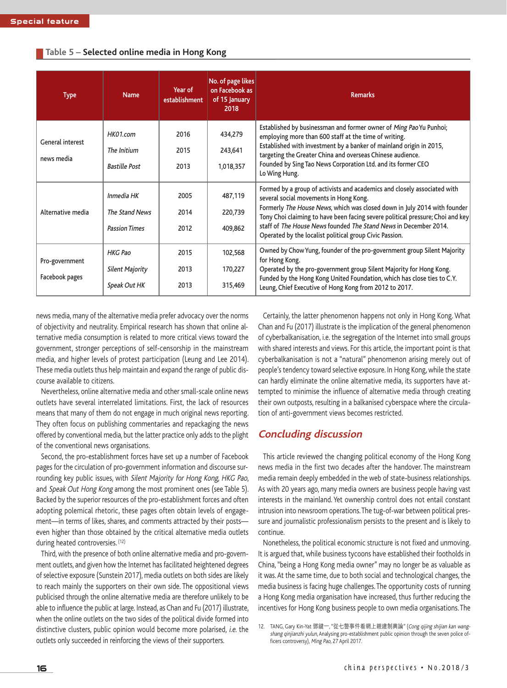| <b>Type</b>                    | <b>Name</b>                            | Year of<br>establishment | No. of page likes<br>on Facebook as<br>of 15 January<br>2018 | <b>Remarks</b>                                                                                                                                                                                                                                                                                                                                   |  |  |
|--------------------------------|----------------------------------------|--------------------------|--------------------------------------------------------------|--------------------------------------------------------------------------------------------------------------------------------------------------------------------------------------------------------------------------------------------------------------------------------------------------------------------------------------------------|--|--|
| General interest<br>news media | HK01.com                               | 2016                     | 434,279                                                      | Established by businessman and former owner of Ming PaoYu Punhoi;<br>employing more than 600 staff at the time of writing.<br>Established with investment by a banker of mainland origin in 2015,<br>targeting the Greater China and overseas Chinese audience.<br>Founded by Sing Tao News Corporation Ltd. and its former CEO<br>Lo Wing Hung. |  |  |
|                                | The Initium<br><b>Bastille Post</b>    | 2015<br>2013             | 243,641<br>1,018,357                                         |                                                                                                                                                                                                                                                                                                                                                  |  |  |
| Alternative media              | Inmedia HK                             | 2005                     | 487,119                                                      | Formed by a group of activists and academics and closely associated with<br>several social movements in Hong Kong.                                                                                                                                                                                                                               |  |  |
|                                | The Stand News<br><b>Passion Times</b> | 2014<br>2012             | 220,739<br>409,862                                           | Formerly The House News, which was closed down in July 2014 with founder<br>Tony Choi claiming to have been facing severe political pressure; Choi and key<br>staff of The House News founded The Stand News in December 2014.<br>Operated by the localist political group Civic Passion.                                                        |  |  |
| Pro-government                 | <b>HKG Pao</b>                         | 2015                     | 102,568                                                      | Owned by Chow Yung, founder of the pro-government group Silent Majority<br>for Hong Kong.                                                                                                                                                                                                                                                        |  |  |
| Facebook pages                 | <b>Silent Majority</b>                 | 2013                     | 170,227                                                      | Operated by the pro-government group Silent Majority for Hong Kong.<br>Funded by the Hong Kong United Foundation, which has close ties to C.Y.                                                                                                                                                                                                   |  |  |

315,469

#### **Table 5 – Selected online media in Hong Kong**

news media, many of the alternative media prefer advocacy over the norms of objectivity and neutrality. Empirical research has shown that online alternative media consumption is related to more critical views toward the government, stronger perceptions of self-censorship in the mainstream media, and higher levels of protest participation (Leung and Lee 2014). These media outlets thus help maintain and expand the range of public discourse available to citizens.

2013

Speak Out HK

Nevertheless, online alternative media and other small-scale online news outlets have several interrelated limitations. First, the lack of resources means that many of them do not engage in much original news reporting. They often focus on publishing commentaries and repackaging the news offered by conventional media, but the latter practice only adds to the plight of the conventional news organisations.

Second, the pro-establishment forces have set up a number of Facebook pages for the circulation of pro-government information and discourse surrounding key public issues, with Silent Majority for Hong Kong, HKG Pao, and Speak Out Hong Kong among the most prominent ones (see Table 5). Backed by the superior resources of the pro-establishment forces and often adopting polemical rhetoric, these pages often obtain levels of engagement—in terms of likes, shares, and comments attracted by their posts even higher than those obtained by the critical alternative media outlets during heated controversies. (12)

Third, with the presence of both online alternative media and pro-government outlets, and given how the Internet has facilitated heightened degrees of selective exposure (Sunstein 2017), media outlets on both sides are likely to reach mainly the supporters on their own side. The oppositional views publicised through the online alternative media are therefore unlikely to be able to influence the public at large. Instead, as Chan and Fu (2017) illustrate, when the online outlets on the two sides of the political divide formed into distinctive clusters, public opinion would become more polarised, i.e. the outlets only succeeded in reinforcing the views of their supporters.

Certainly, the latter phenomenon happens not only in Hong Kong. What Chan and Fu (2017) illustrate is the implication of the general phenomenon of cyberbalkanisation, i.e. the segregation of the Internet into small groups with shared interests and views. For this article, the important point is that cyberbalkanisation is not a "natural" phenomenon arising merely out of people's tendency toward selective exposure. In Hong Kong, while the state can hardly eliminate the online alternative media, its supporters have attempted to minimise the influence of alternative media through creating their own outposts, resulting in a balkanised cyberspace where the circulation of anti-government views becomes restricted.

Leung, Chief Executive of Hong Kong from 2012 to 2017.

## **Concluding discussion**

This article reviewed the changing political economy of the Hong Kong news media in the first two decades after the handover. The mainstream media remain deeply embedded in the web of state-business relationships. As with 20 years ago, many media owners are business people having vast interests in the mainland. Yet ownership control does not entail constant intrusion into newsroom operations. The tug-of-war between political pressure and journalistic professionalism persists to the present and is likely to continue.

Nonetheless, the political economic structure is not fixed and unmoving. It is argued that, while business tycoons have established their footholds in China, "being a Hong Kong media owner" may no longer be as valuable as it was. At the same time, due to both social and technological changes, the media business is facing huge challenges. The opportunity costs of running a Hong Kong media organisation have increased, thus further reducing the incentives for Hong Kong business people to own media organisations. The

<sup>12.</sup> TANG, Gary Kin-Yat 鄧鍵一, "從七警事件看網上親建制輿論" (Cong qijing shijian kan wangshang qinjianzhi yulun, Analysing pro-establishment public opinion through the seven police officers controversy), Ming Pao, 27 April 2017.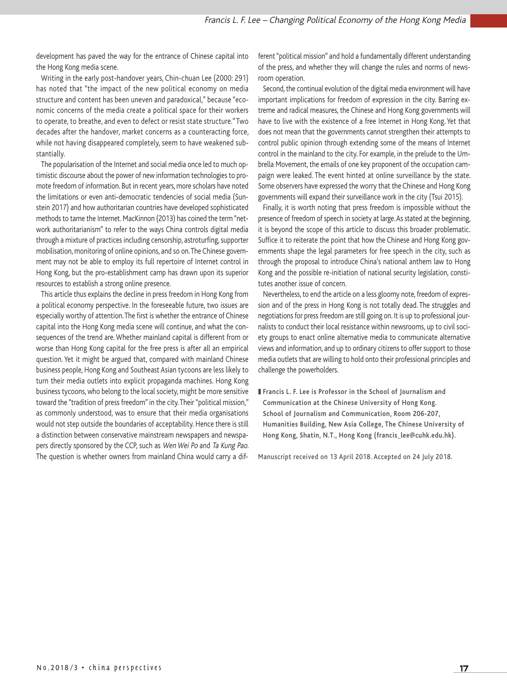development has paved the way for the entrance of Chinese capital into the Hong Kong media scene.

Writing in the early post-handover years, Chin-chuan Lee (2000: 291) has noted that "the impact of the new political economy on media structure and content has been uneven and paradoxical," because "economic concerns of the media create a political space for their workers to operate, to breathe, and even to defect or resist state structure." Two decades after the handover, market concerns as a counteracting force, while not having disappeared completely, seem to have weakened substantially.

The popularisation of the Internet and social media once led to much optimistic discourse about the power of new information technologies to promote freedom of information. But in recent years, more scholars have noted the limitations or even anti-democratic tendencies of social media (Sunstein 2017) and how authoritarian countries have developed sophisticated methods to tame the Internet. MacKinnon (2013) has coined the term "network authoritarianism" to refer to the ways China controls digital media through a mixture of practices including censorship, astroturfing, supporter mobilisation, monitoring of online opinions, and so on. The Chinese government may not be able to employ its full repertoire of Internet control in Hong Kong, but the pro-establishment camp has drawn upon its superior resources to establish a strong online presence.

This article thus explains the decline in press freedom in Hong Kong from a political economy perspective. In the foreseeable future, two issues are especially worthy of attention. The first is whether the entrance of Chinese capital into the Hong Kong media scene will continue, and what the consequences of the trend are. Whether mainland capital is different from or worse than Hong Kong capital for the free press is after all an empirical question. Yet it might be argued that, compared with mainland Chinese business people, Hong Kong and Southeast Asian tycoons are less likely to turn their media outlets into explicit propaganda machines. Hong Kong business tycoons, who belong to the local society, might be more sensitive toward the "tradition of press freedom" in the city. Their "political mission," as commonly understood, was to ensure that their media organisations would not step outside the boundaries of acceptability. Hence there is still a distinction between conservative mainstream newspapers and newspapers directly sponsored by the CCP, such as Wen Wei Po and Ta Kung Pao. The question is whether owners from mainland China would carry a dif-

ferent "political mission" and hold a fundamentally different understanding of the press, and whether they will change the rules and norms of newsroom operation.

Second, the continual evolution of the digital media environment will have important implications for freedom of expression in the city. Barring extreme and radical measures, the Chinese and Hong Kong governments will have to live with the existence of a free Internet in Hong Kong. Yet that does not mean that the governments cannot strengthen their attempts to control public opinion through extending some of the means of Internet control in the mainland to the city. For example, in the prelude to the Umbrella Movement, the emails of one key proponent of the occupation campaign were leaked. The event hinted at online surveillance by the state. Some observers have expressed the worry that the Chinese and Hong Kong governments will expand their surveillance work in the city (Tsui 2015).

Finally, it is worth noting that press freedom is impossible without the presence of freedom of speech in society at large. As stated at the beginning, it is beyond the scope of this article to discuss this broader problematic. Suffice it to reiterate the point that how the Chinese and Hong Kong governments shape the legal parameters for free speech in the city, such as through the proposal to introduce China's national anthem law to Hong Kong and the possible re-initiation of national security legislation, constitutes another issue of concern.

Nevertheless, to end the article on a less gloomy note, freedom of expression and of the press in Hong Kong is not totally dead. The struggles and negotiations for press freedom are still going on. It is up to professional journalists to conduct their local resistance within newsrooms, up to civil society groups to enact online alternative media to communicate alternative views and information, and up to ordinary citizens to offer support to those media outlets that are willing to hold onto their professional principles and challenge the powerholders.

**Francis L. F. Lee is Professor in the School of Journalism and Communication at the Chinese University of Hong Kong. School of Journalism and Communication, Room 206-207, Humanities Building, New Asia College, The Chinese University of Hong Kong, Shatin, N.T., Hong Kong (francis\_lee@cuhk.edu.hk).**

Manuscript received on 13 April 2018. Accepted on 24 July 2018.